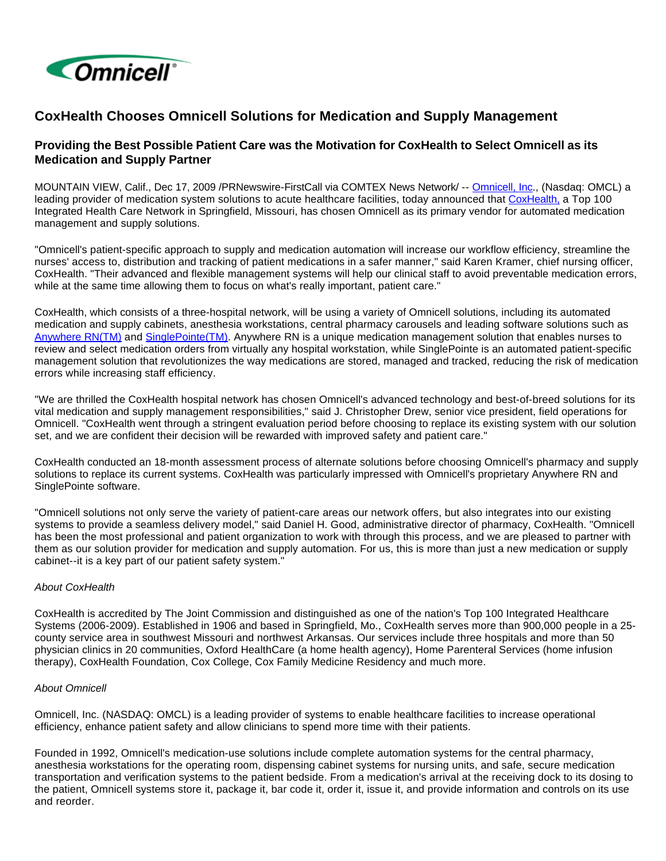

## **CoxHealth Chooses Omnicell Solutions for Medication and Supply Management**

## **Providing the Best Possible Patient Care was the Motivation for CoxHealth to Select Omnicell as its Medication and Supply Partner**

MOUNTAIN VIEW, Calif., Dec 17, 2009 /PRNewswire-FirstCall via COMTEX News Network/ -- [Omnicell, Inc.](http://www.omnicell.com/), (Nasdaq: OMCL) a leading provider of medication system solutions to acute healthcare facilities, today announced that [CoxHealth,](http://www.coxhealth.com/) a Top 100 Integrated Health Care Network in Springfield, Missouri, has chosen Omnicell as its primary vendor for automated medication management and supply solutions.

"Omnicell's patient-specific approach to supply and medication automation will increase our workflow efficiency, streamline the nurses' access to, distribution and tracking of patient medications in a safer manner," said Karen Kramer, chief nursing officer, CoxHealth. "Their advanced and flexible management systems will help our clinical staff to avoid preventable medication errors, while at the same time allowing them to focus on what's really important, patient care."

CoxHealth, which consists of a three-hospital network, will be using a variety of Omnicell solutions, including its automated medication and supply cabinets, anesthesia workstations, central pharmacy carousels and leading software solutions such as [Anywhere RN\(TM\)](http://www.omnicell.com/news_events/release_display.asp?page=430) and [SinglePointe\(TM\).](http://www.omnicell.com/solutions/medication_use_process/medication_dispensing_systems/singlepointe.asp) Anywhere RN is a unique medication management solution that enables nurses to review and select medication orders from virtually any hospital workstation, while SinglePointe is an automated patient-specific management solution that revolutionizes the way medications are stored, managed and tracked, reducing the risk of medication errors while increasing staff efficiency.

"We are thrilled the CoxHealth hospital network has chosen Omnicell's advanced technology and best-of-breed solutions for its vital medication and supply management responsibilities," said J. Christopher Drew, senior vice president, field operations for Omnicell. "CoxHealth went through a stringent evaluation period before choosing to replace its existing system with our solution set, and we are confident their decision will be rewarded with improved safety and patient care."

CoxHealth conducted an 18-month assessment process of alternate solutions before choosing Omnicell's pharmacy and supply solutions to replace its current systems. CoxHealth was particularly impressed with Omnicell's proprietary Anywhere RN and SinglePointe software.

"Omnicell solutions not only serve the variety of patient-care areas our network offers, but also integrates into our existing systems to provide a seamless delivery model," said Daniel H. Good, administrative director of pharmacy, CoxHealth. "Omnicell has been the most professional and patient organization to work with through this process, and we are pleased to partner with them as our solution provider for medication and supply automation. For us, this is more than just a new medication or supply cabinet--it is a key part of our patient safety system."

## About CoxHealth

CoxHealth is accredited by The Joint Commission and distinguished as one of the nation's Top 100 Integrated Healthcare Systems (2006-2009). Established in 1906 and based in Springfield, Mo., CoxHealth serves more than 900,000 people in a 25 county service area in southwest Missouri and northwest Arkansas. Our services include three hospitals and more than 50 physician clinics in 20 communities, Oxford HealthCare (a home health agency), Home Parenteral Services (home infusion therapy), CoxHealth Foundation, Cox College, Cox Family Medicine Residency and much more.

## About Omnicell

Omnicell, Inc. (NASDAQ: OMCL) is a leading provider of systems to enable healthcare facilities to increase operational efficiency, enhance patient safety and allow clinicians to spend more time with their patients.

Founded in 1992, Omnicell's medication-use solutions include complete automation systems for the central pharmacy, anesthesia workstations for the operating room, dispensing cabinet systems for nursing units, and safe, secure medication transportation and verification systems to the patient bedside. From a medication's arrival at the receiving dock to its dosing to the patient, Omnicell systems store it, package it, bar code it, order it, issue it, and provide information and controls on its use and reorder.